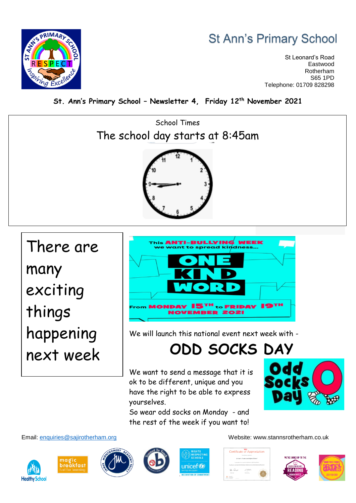### **St Ann's Primary School**

St Leonard's Road Eastwood Rotherham S65 1PD Telephone: 01709 828298



**St. Ann's Primary School – Newsletter 4, Friday 12th November 2021**



There are many exciting things happening next week



We will launch this national event next week with -

## **ODD SOCKS DAY**

We want to send a message that it is ok to be different, unique and you have the right to be able to express yourselves.

So wear odd socks on Monday - and the rest of the week if you want to!













Email: [enquiries@sajirotherham.org](mailto:enquiries@sajirotherham.org) Website: www.stannsrotherham.co.uk

Certificate of Appreciation